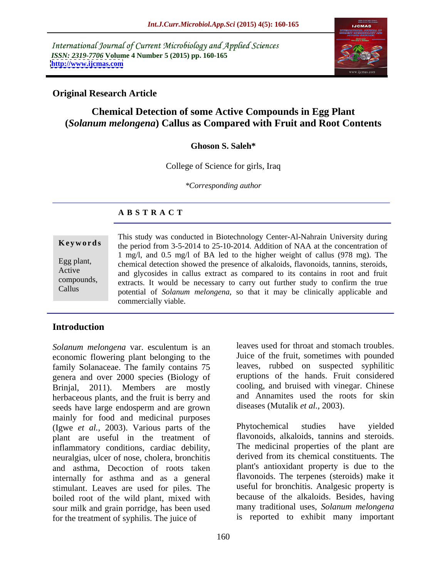International Journal of Current Microbiology and Applied Sciences *ISSN: 2319-7706* **Volume 4 Number 5 (2015) pp. 160-165 <http://www.ijcmas.com>**



# **Original Research Article**

# **Chemical Detection of some Active Compounds in Egg Plant (***Solanum melongena***) Callus as Compared with Fruit and Root Contents**

## **Ghoson S. Saleh\***

College of Science for girls, Iraq

*\*Corresponding author*

# **A B S T R A C T**

Callus

This study was conducted in Biotechnology Center-Al-Nahrain University during the period from 3-5-2014 to 25-10-2014. Addition of NAA at the concentration of **Ke ywo rds** 1 mg/l, and 0.5 mg/l of BA led to the higher weight of callus (978 mg). The Egg plant, chemical detection showed the presence of alkaloids, flavonoids, tannins, steroids, Active and glycosides in callus extract as compared to its contains in root and fruit extracts. It would be necessary to carry out further study to confirm the true potential of *Solanum melongena*, so that it may be clinically applicable and commercially viable.

# **Introduction**

*Solanum melongena* var. esculentum is an economic flowering plant belonging to the family Solanaceae. The family contains 75 genera and over 2000 species (Biology of Brinjal, 2011). Members are mostly cooling, and bruised with vinegar. Chinese herbaceous plants, and the fruit is berry and and Annamites used the ro<br>seeds have large endosperm and are grown diseases (Mutalik *et al.*, 2003). seeds have large endosperm and are grown mainly for food and medicinal purposes<br>(Jowe et al. 2003) Various parts of the Phytochemical studies have (Igwe *et al.,* 2003). Various parts of the plant are useful in the treatment of inflammatory conditions, cardiac debility, neuralgias, ulcer of nose, cholera, bronchitis and asthma, Decoction of roots taken internally for asthma and as a general stimulant. Leaves are used for piles. The boiled root of the wild plant, mixed with sour milk and grain porridge, has been used for the treatment of syphilis. The juice of

leaves used for throat and stomach troubles. Juice of the fruit, sometimes with pounded leaves, rubbed on suspected syphilitic eruptions of the hands. Fruit considered and Annamites used the roots for skin

diseases (Mutalik *et al.*, 2003).<br>Phytochemical studies have yielded flavonoids, alkaloids, tannins and steroids. The medicinal properties of the plant are derived from its chemical constituents. The plant's antioxidant property is due to the flavonoids. The terpenes (steroids) make it useful for bronchitis. Analgesic property is because of the alkaloids. Besides, having many traditional uses, *Solanum melongena* is reported to exhibit many important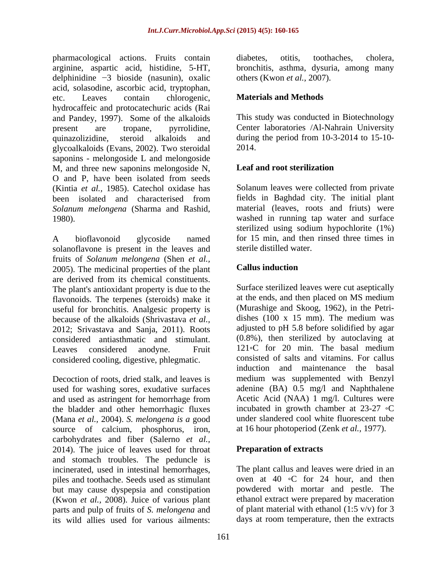pharmacological actions. Fruits contain diabetes, otitis, toothaches, cholera, arginine, aspartic acid, histidine, 5-HT, delphinidine  $-3$  bioside (nasunin), oxalic acid, solasodine, ascorbic acid, tryptophan, etc. Leaves contain chlorogenic, **Materials and Methods** hydrocaffeic and protocatechuric acids (Rai and Pandey, 1997). Some of the alkaloids present are tropane, pyrrolidine, Center laboratories /Al-Nahrain University quinazolizidine, steroid alkaloids and during the period from 10-3-2014 to 15-10 glycoalkaloids (Evans, 2002). Two steroidal saponins - melongoside L and melongoside M, and three new saponins melongoside N, Leaf and root sterilization O and P, have been isolated from seeds (Kintia *et al.*, 1985). Catechol oxidase has Solanum leaves were collected from private been isolated and characterised from fields in Baghdad city. The initial plant *Solanum melongena* (Sharma and Rashid,

solanoflavone is present in the leaves and fruits of *Solanum melongena* (Shen *et al.,*<br>2005) The medicinal properties of the plant **Callus induction** 2005). The medicinal properties of the plant are derived from its chemical constituents. The plant's antioxidant property is due to the flavonoids. The terpenes (steroids) make it useful for bronchitis. Analgesic property is because of the alkaloids (Shrivastava *et al.,* 2012; Srivastava and Sanja, 2011). Roots considered antiasthmatic and stimulant. Leaves considered anodyne. Fruit 121 °C for 20 min. The basal medium considered cooling, digestive, phlegmatic.

Decoction of roots, dried stalk, and leaves is used for washing sores, exudative surfaces and used as astringent for hemorrhage from the bladder and other hemorrhagic fluxes (Mana *et al.,* 2004). *S. melongena is a* good source of calcium, phosphorus, iron, carbohydrates and fiber (Salerno *et al.,* 2014). The juice of leaves used for throat and stomach troubles. The peduncle is piles and toothache. Seeds used as stimulant but may cause dyspepsia and constipation (Kwon *et al.,* 2008). Juice of various plant parts and pulp of fruits of *S. melongena* and its wild allies used for various ailments: days at room temperature, then the extracts

diabetes, otitis, toothaches, cholera, bronchitis, asthma, dysuria, among many others (Kwon *et al.,* 2007).

# **Materials and Methods**

This study was conducted in Biotechnology 2014.

# **Leaf and root sterilization**

1980).<br>
1980). Washed in running tap water and surface<br>
1980).<br>
2011 Sterilized using sodium hypochlorite (1%)<br>
1980).<br>
2013 Sterilized using sodium hypochlorite (1%) fields in Baghdad city. The initial plant material (leaves, roots and friuts) were washed in running tap water and surface sterilized using sodium hypochlorite (1%) for 15 min, and then rinsed three times in sterile distilled water.

# **Callus induction**

Surface sterilized leaves were cut aseptically at the ends, and then placed on MS medium (Murashige and Skoog, 1962), in the Petri dishes (100 x 15 mm). The medium was adjusted to pH 5.8 before solidified by agar (0.8%), then sterilized by autoclaving at consisted of salts and vitamins. For callus induction and maintenance the basal medium was supplemented with Benzyl adenine (BA) 0.5 mg/l and Naphthalene Acetic Acid (NAA) 1 mg/l. Cultures were incubated in growth chamber at  $23-27$   $\circ$ C under slandered cool white fluorescent tube at 16 hour photoperiod (Zenk *et al.,* 1977).

## **Preparation of extracts**

incinerated, used in intestinal hemorrhages, The plant callus and leaves were dried in an oven at 40  $\circ$ C for 24 hour, and then powdered with mortar and pestle. The ethanol extract were prepared by maceration of plant material with ethanol  $(1:5 \text{ v/v})$  for 3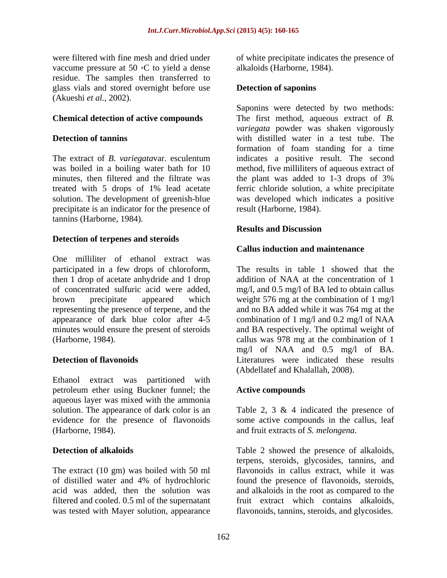vaccume pressure at 50  $\circ$ C to yield a dense residue. The samples then transferred to glass vials and stored overnight before use (Akueshi *et al.,* 2002).

The extract of *B. variegata*var. esculentum minutes, then filtered and the filtrate was the plant was added to 1-3 drops of 3% solution. The development of greenish-blue precipitate is an indicator for the presence of tannins (Harborne, 1984).

## **Detection of terpenes and steroids**

One milliliter of ethanol extract was participated in a few drops of chloroform, then 1 drop of acetate anhydride and 1 drop of concentrated sulfuric acid were added, mg/l, and 0.5 mg/l of BA led to obtain callus brown precipitate appeared which weight 576 mg at the combination of 1 mg/l representing the presence of terpene, and the and no BA added while it was 764 mg at the appearance of dark blue color after 4-5 minutes would ensure the present of steroids and BA respectively. The optimal weight of (Harborne, 1984).

Ethanol extract was partitioned with petroleum ether using Buckner funnel; the aqueous layer was mixed with the ammonia solution. The appearance of dark color is an Table 2, 3 & 4 indicated the presence of evidence for the presence of flavonoids some active compounds in the callus, leaf (Harborne, 1984). and fruit extracts of S. *melongena*.

The extract (10 gm) was boiled with 50 ml of distilled water and 4% of hydrochloric acid was added, then the solution was and alkaloids in the root as compared to the filtered and cooled. 0.5 ml of the supernatant fruit extract which contains alkaloids, was tested with Mayer solution, appearance flavonoids, tannins, steroids, and glycosides.

were filtered with fine mesh and dried under of white precipitate indicates the presence of alkaloids (Harborne, 1984).

## **Detection of saponins**

**Chemical detection of active compounds** The first method, aqueous extract of *B.* **Detection of tannins**  with distilled water in a test tube. The was boiled in a boiling water bath for 10 method, five milliliters of aqueous extract of treated with 5 drops of 1% lead acetate ferric chloride solution, a white precipitate Saponins were detected by two methods: *variegata* powder was shaken vigorously formation of foam standing for a time indicates a positive result. The second the plant was added to 1-3 drops of 3% was developed which indicates a positive result (Harborne, 1984).

## **Results and Discussion**

## **Callus induction and maintenance**

**Detection of flavonoids**  Literatures were indicated these results The results in table 1 showed that the addition of NAA at the concentration of 1 combination of 1 mg/l and 0.2 mg/l of NAA callus was 978 mg at the combination of 1 mg/l of NAA and 0.5 mg/l of BA. (Abdellatef and Khalallah, 2008).

### **Active compounds**

**Detection of alkaloids** Table 2 showed the presence of alkaloids, and fruit extracts of *S. melongena*. Table <sup>2</sup> showed the presence of alkaloids, terpens, steroids, glycosides, tannins, and flavonoids in callus extract, while it was found the presence of flavonoids, steroids,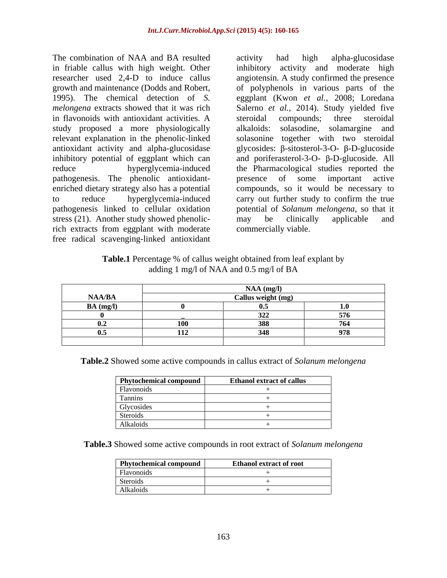The combination of NAA and BA resulted activity had high alpha-glucosidase in friable callus with high weight. Other researcher used 2,4-D to induce callus angiotensin. A study confirmed the presence growth and maintenance (Dodds and Robert, of polyphenols in various parts of the 1995). The chemical detection of *S*. **a** eggplant (Kwon *et al.*, 2008; Loredana *melongena* extracts showed that it was rich Salerno *et al.,* 2014). Study yielded five in flavonoids with antioxidant activities. A steroidal compounds; three steroidal study proposed a more physiologically relevant explanation in the phenolic-linked solasonine together with two steroidal antioxidant activity and alpha-glucosidase glycosides:  $\beta$ -sitosterol-3-O-  $\beta$ -D-glucoside inhibitory potential of eggplant which can and poriferasterol-3-O-  $\beta$ -D-glucoside. All reduce hyperglycemia-induced the Pharmacological studies reported the pathogenesis. The phenolic antioxidant enriched dietary strategy also has a potential compounds, so it would be necessary to to reduce hyperglycemia-induced carry out further study to confirm the true pathogenesis linked to cellular oxidation potential of *Solanum melongena*, so that it stress (21). Another study showed phenolicrich extracts from eggplant with moderate free radical scavenging-linked antioxidant

activity had high alpha-glucosidase activity and moderate high of polyphenols in various parts of the eggplant (Kwon *et al.,* 2008; Loredana steroidal compounds; three steroidal alkaloids: solasodine, solamargine and presence of some important active may be clinically applicable and commercially viable.

| Table.1 Percentage % of callus weight of<br>obtained from leaf explant by                |  |  |  |
|------------------------------------------------------------------------------------------|--|--|--|
| $\alpha$ $f$ NI A A<br>$10.5$ mg/l of B <sub><math>\Delta</math></sub><br>янн<br>ган анц |  |  |  |

|                   | $NAA$ (mg/ |                   |
|-------------------|------------|-------------------|
| $\mathbf{NAA/BA}$ | ~11-       |                   |
| $BA$ (mg/l)       |            |                   |
|                   | .          | ---               |
|                   |            | $H$ $\ell$ $\ell$ |
|                   |            | 0.70              |
|                   |            |                   |

**Table.2** Showed some active compounds in callus extract of *Solanum melongena*

| <b>Phytochemical compound</b> | <b>Ethanol extract of callus</b> |
|-------------------------------|----------------------------------|
| Flavonoids                    |                                  |
| Tannins                       |                                  |
| Glycosides                    |                                  |
| Steroids                      |                                  |
| Alkaloids                     |                                  |

**Table.3** Showed some active compounds in root extract of *Solanum melongena*

| Phytochemic.<br>compound | --<br>Ethanol extract of root |
|--------------------------|-------------------------------|
| Flavonoids               |                               |
| Steroids                 |                               |
| Alkaloids                |                               |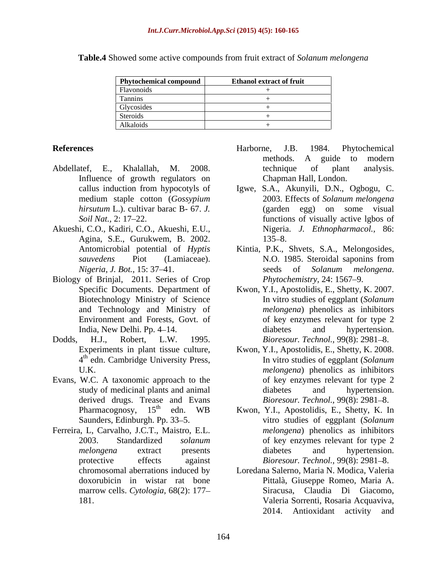| <b>Phytochemical compound</b> | <b>Ethanol extract of fruit</b> |
|-------------------------------|---------------------------------|
| Flavonoids                    |                                 |
| Tannins                       |                                 |
| Glycosides                    |                                 |
| Steroids                      |                                 |
| Alkaloids                     |                                 |

**Table.4** Showed some active compounds from fruit extract of *Solanum melongena*

- Influence of growth regulators on
- Akueshi, C.O., Kadiri, C.O., Akueshi, E.U., Agina, S.E., Gurukwem, B. 2002.
- Biology of Brinjal, 2011. Series of Crop
- Dodds, H.J., Robert, L.W. 1995. *Bioresour. Technol.,* 99(8): 2981 8. 4<sup>th</sup> edn. Cambridge University Press,
- Evans, W.C. A taxonomic approach to the derived drugs. Trease and Evans<br>Pharmacognosy,  $15<sup>th</sup>$  edn. WB
- Ferreira, L, Carvalho, J.C.T., Maistro, E.L. marrow cells. *Cytologia,* 68(2): 177
- References **References References References References References References References References References References References References References References References References Re** Abdellatef, E., Khalallah, M. 2008. Harborne, J.B. 1984. Phytochemical methods. A guide to modern technique of plant analysis. Chapman Hall, London.
	- callus induction from hypocotyls of Igwe, S.A., Akunyili, D.N., Ogbogu, C. medium staple cotton (*Gossypium hirsutum* L.). cultivar barac B- 67. *J.* (garden egg) on some visual Soil Nat., 2: 17–22. 2003. Effects of *Solanum melongena* Nigeria. *J. Ethnopharmacol.,* 86: 135–8.
	- Antomicrobial potential of *Hyptis*  Kintia, P.K., Shvets, S.A., Melongosides, *sauvedens* Piot (Lamiaceae). *Nigeria, J. Bot.,* 15: 37–41. Seeds of *Solanum melongena.* N.O. 1985. Steroidal saponins from seeds of *Solanum melongena*. *Phytochemistry*, 24: 1567–9.
	- Specific Documents. Department of Kwon, Y.I., Apostolidis, E., Shetty, K. 2007. Biotechnology Ministry of Science In vitro studies of eggplant (*Solanum*  and Technology and Ministry of *melongena*) phenolics as inhibitors Environment and Forests, Govt. of of key enzymes relevant for type 2 India, New Delhi. Pp. 4–14. diabetes and hypertension. diabetes and hypertension.
	- Experiments in plant tissue culture, Kwon, Y.I., Apostolidis, E., Shetty, K. 2008. 4 edn. Cambridge University Press, In vitro studies of eggplant (*Solanum*  U.K. *melongena*) phenolics as inhibitors study of medicinal plants and animal diabetes and hypertension. of key enzymes relevant for type 2 diabetes and hypertension. *Bioresour. Technol., 99(8): 2981-8.*
	- Pharmacognosy, 15<sup>th</sup> edn. WB Kwon, Y.I., Apostolidis, E., Shetty, K. In Saunders, Edinburgh. Pp. 33–5. The vitro studies of eggplant (*Solanum* and *Solanum* 2003. Standardized *solanum*  of key enzymes relevant for type 2 *melongena* extract presents protective effects against *Bioresour. Technol.*, 99(8): 2981–8. *melongena*) phenolics as inhibitors diabetes and hypertension.
	- chromosomal aberrations induced by Loredana Salerno, Maria N. Modica, Valeria doxorubicin in wistar rat bone Pittalà, Giuseppe Romeo, Maria A. 181. Valeria Sorrenti, Rosaria Acquaviva, Siracusa, Claudia Di Giacomo, Valeria Sorrenti, Rosaria Acquaviva, 2014. Antioxidant activity and